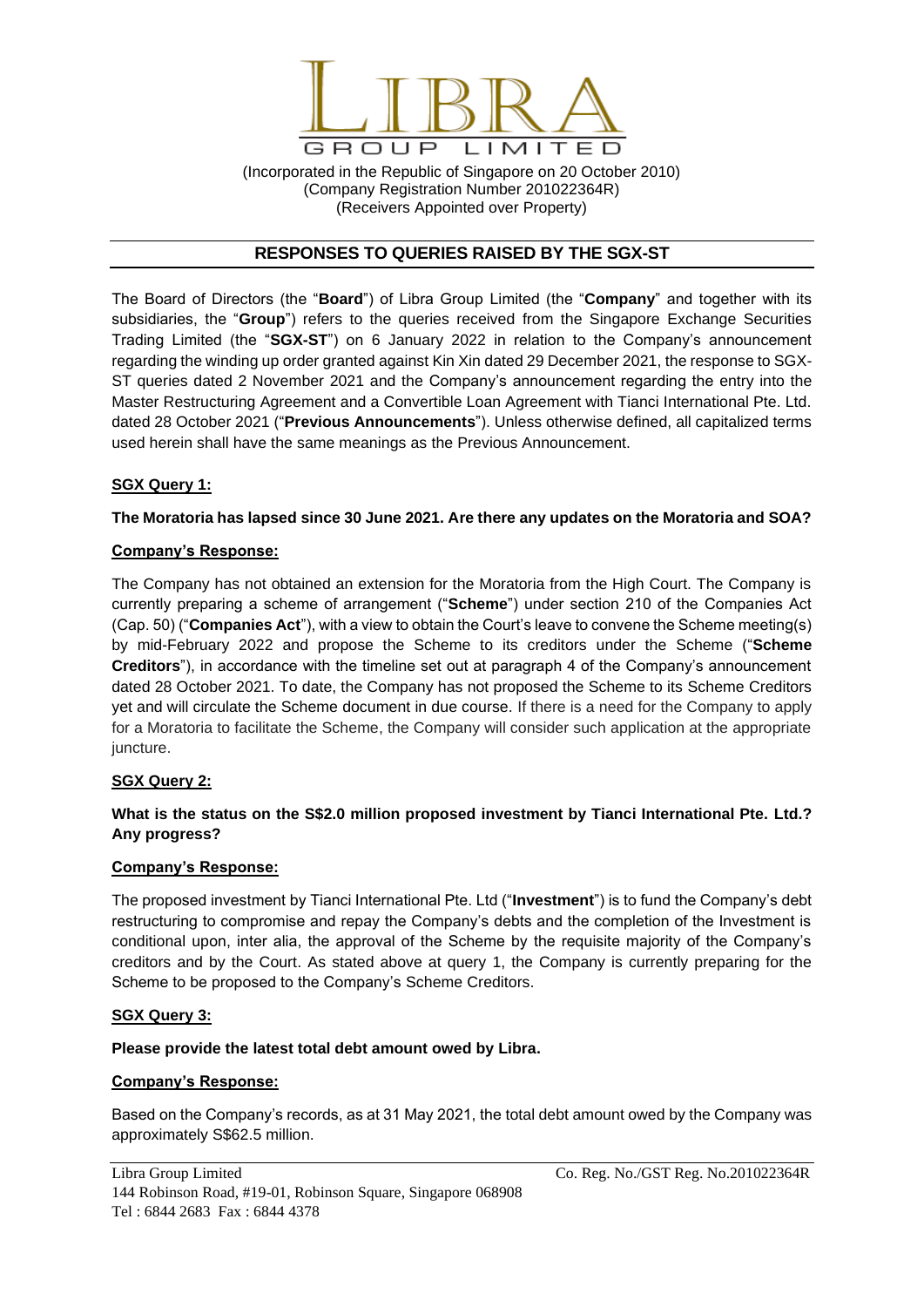

(Incorporated in the Republic of Singapore on 20 October 2010) (Company Registration Number 201022364R) (Receivers Appointed over Property)

# **RESPONSES TO QUERIES RAISED BY THE SGX-ST**

The Board of Directors (the "**Board**") of Libra Group Limited (the "**Company**" and together with its subsidiaries, the "**Group**") refers to the queries received from the Singapore Exchange Securities Trading Limited (the "**SGX-ST**") on 6 January 2022 in relation to the Company's announcement regarding the winding up order granted against Kin Xin dated 29 December 2021, the response to SGX-ST queries dated 2 November 2021 and the Company's announcement regarding the entry into the Master Restructuring Agreement and a Convertible Loan Agreement with Tianci International Pte. Ltd. dated 28 October 2021 ("**Previous Announcements**"). Unless otherwise defined, all capitalized terms used herein shall have the same meanings as the Previous Announcement.

### **SGX Query 1:**

# **The Moratoria has lapsed since 30 June 2021. Are there any updates on the Moratoria and SOA?**

### **Company's Response:**

The Company has not obtained an extension for the Moratoria from the High Court. The Company is currently preparing a scheme of arrangement ("**Scheme**") under section 210 of the Companies Act (Cap. 50) ("**Companies Act**"), with a view to obtain the Court's leave to convene the Scheme meeting(s) by mid-February 2022 and propose the Scheme to its creditors under the Scheme ("**Scheme Creditors**"), in accordance with the timeline set out at paragraph 4 of the Company's announcement dated 28 October 2021. To date, the Company has not proposed the Scheme to its Scheme Creditors yet and will circulate the Scheme document in due course. If there is a need for the Company to apply for a Moratoria to facilitate the Scheme, the Company will consider such application at the appropriate juncture.

### **SGX Query 2:**

# **What is the status on the S\$2.0 million proposed investment by Tianci International Pte. Ltd.? Any progress?**

### **Company's Response:**

The proposed investment by Tianci International Pte. Ltd ("**Investment**") is to fund the Company's debt restructuring to compromise and repay the Company's debts and the completion of the Investment is conditional upon, inter alia, the approval of the Scheme by the requisite majority of the Company's creditors and by the Court. As stated above at query 1, the Company is currently preparing for the Scheme to be proposed to the Company's Scheme Creditors.

### **SGX Query 3:**

### **Please provide the latest total debt amount owed by Libra.**

### **Company's Response:**

Based on the Company's records, as at 31 May 2021, the total debt amount owed by the Company was approximately S\$62.5 million.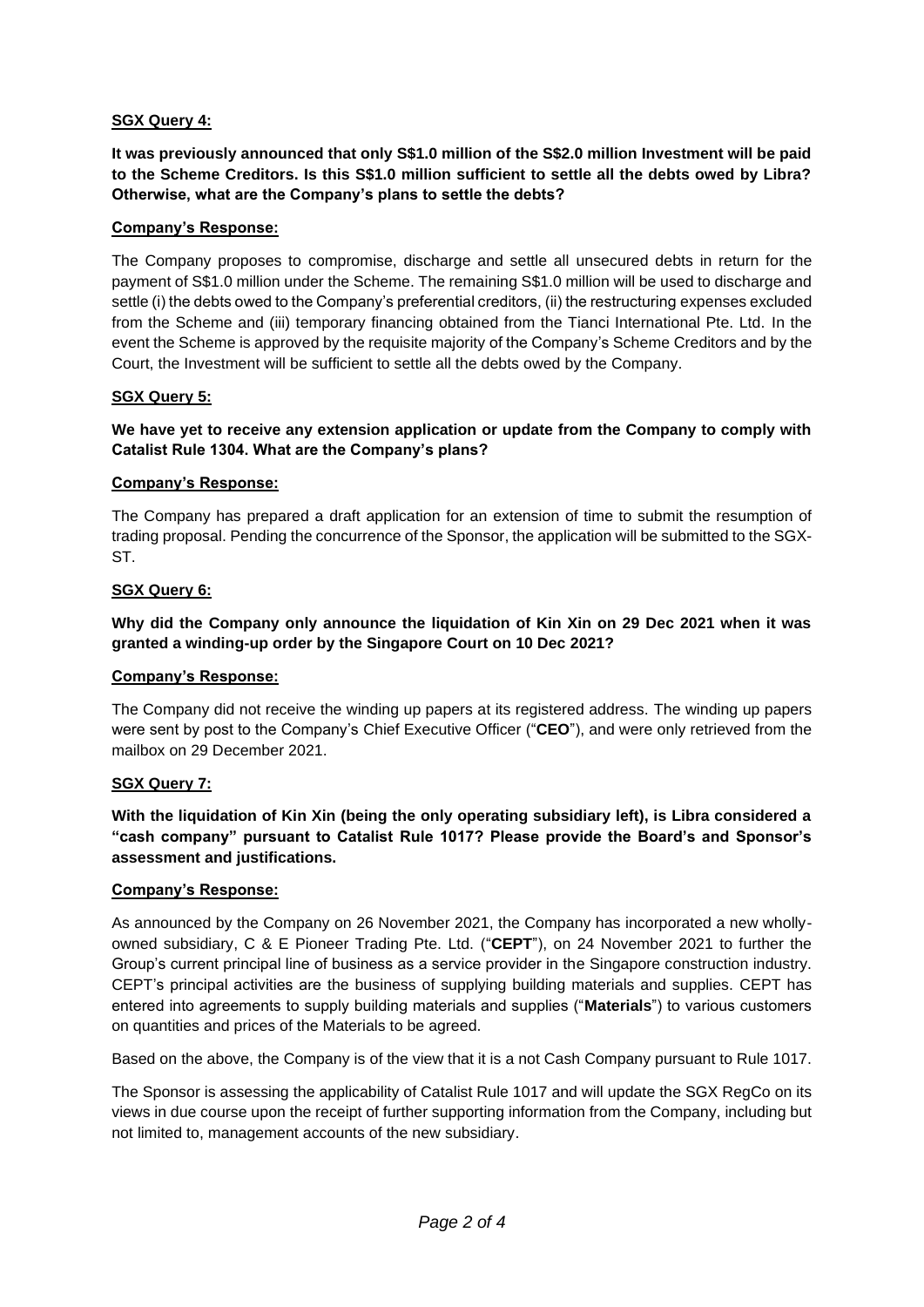# **SGX Query 4:**

**It was previously announced that only S\$1.0 million of the S\$2.0 million Investment will be paid to the Scheme Creditors. Is this S\$1.0 million sufficient to settle all the debts owed by Libra? Otherwise, what are the Company's plans to settle the debts?**

## **Company's Response:**

The Company proposes to compromise, discharge and settle all unsecured debts in return for the payment of S\$1.0 million under the Scheme. The remaining S\$1.0 million will be used to discharge and settle (i) the debts owed to the Company's preferential creditors, (ii) the restructuring expenses excluded from the Scheme and (iii) temporary financing obtained from the Tianci International Pte. Ltd. In the event the Scheme is approved by the requisite majority of the Company's Scheme Creditors and by the Court, the Investment will be sufficient to settle all the debts owed by the Company.

# **SGX Query 5:**

## **We have yet to receive any extension application or update from the Company to comply with Catalist Rule 1304. What are the Company's plans?**

### **Company's Response:**

The Company has prepared a draft application for an extension of time to submit the resumption of trading proposal. Pending the concurrence of the Sponsor, the application will be submitted to the SGX-ST.

### **SGX Query 6:**

**Why did the Company only announce the liquidation of Kin Xin on 29 Dec 2021 when it was granted a winding-up order by the Singapore Court on 10 Dec 2021?**

### **Company's Response:**

The Company did not receive the winding up papers at its registered address. The winding up papers were sent by post to the Company's Chief Executive Officer ("**CEO**"), and were only retrieved from the mailbox on 29 December 2021.

### **SGX Query 7:**

**With the liquidation of Kin Xin (being the only operating subsidiary left), is Libra considered a "cash company" pursuant to Catalist Rule 1017? Please provide the Board's and Sponsor's assessment and justifications.**

### **Company's Response:**

As announced by the Company on 26 November 2021, the Company has incorporated a new whollyowned subsidiary, C & E Pioneer Trading Pte. Ltd. ("**CEPT**"), on 24 November 2021 to further the Group's current principal line of business as a service provider in the Singapore construction industry. CEPT's principal activities are the business of supplying building materials and supplies. CEPT has entered into agreements to supply building materials and supplies ("**Materials**") to various customers on quantities and prices of the Materials to be agreed.

Based on the above, the Company is of the view that it is a not Cash Company pursuant to Rule 1017.

The Sponsor is assessing the applicability of Catalist Rule 1017 and will update the SGX RegCo on its views in due course upon the receipt of further supporting information from the Company, including but not limited to, management accounts of the new subsidiary.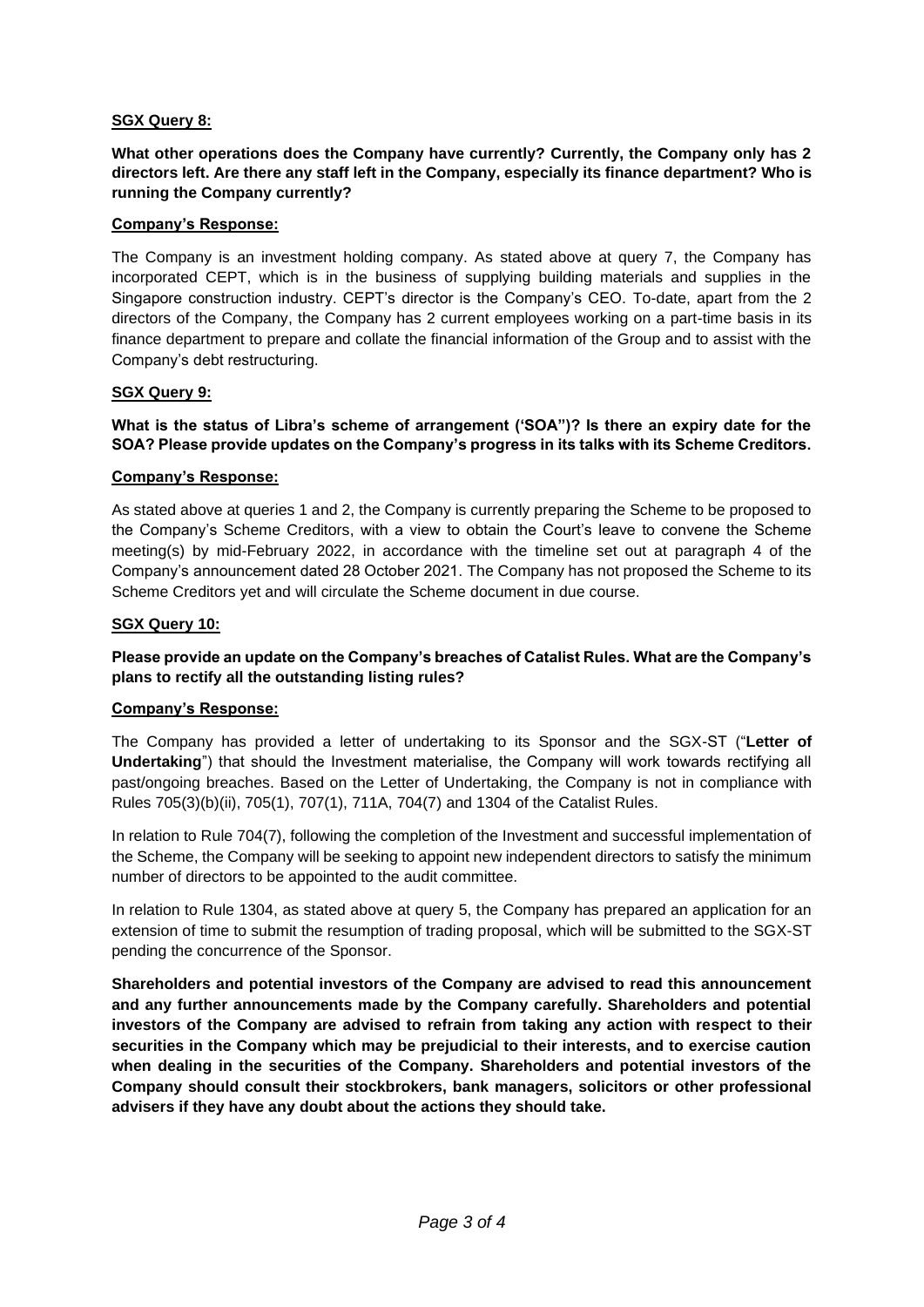# **SGX Query 8:**

**What other operations does the Company have currently? Currently, the Company only has 2 directors left. Are there any staff left in the Company, especially its finance department? Who is running the Company currently?** 

#### **Company's Response:**

The Company is an investment holding company. As stated above at query 7, the Company has incorporated CEPT, which is in the business of supplying building materials and supplies in the Singapore construction industry. CEPT's director is the Company's CEO. To-date, apart from the 2 directors of the Company, the Company has 2 current employees working on a part-time basis in its finance department to prepare and collate the financial information of the Group and to assist with the Company's debt restructuring.

#### **SGX Query 9:**

## **What is the status of Libra's scheme of arrangement ('SOA")? Is there an expiry date for the SOA? Please provide updates on the Company's progress in its talks with its Scheme Creditors.**

#### **Company's Response:**

As stated above at queries 1 and 2, the Company is currently preparing the Scheme to be proposed to the Company's Scheme Creditors, with a view to obtain the Court's leave to convene the Scheme meeting(s) by mid-February 2022, in accordance with the timeline set out at paragraph 4 of the Company's announcement dated 28 October 2021. The Company has not proposed the Scheme to its Scheme Creditors yet and will circulate the Scheme document in due course.

#### **SGX Query 10:**

## **Please provide an update on the Company's breaches of Catalist Rules. What are the Company's plans to rectify all the outstanding listing rules?**

#### **Company's Response:**

The Company has provided a letter of undertaking to its Sponsor and the SGX-ST ("**Letter of Undertaking**") that should the Investment materialise, the Company will work towards rectifying all past/ongoing breaches. Based on the Letter of Undertaking, the Company is not in compliance with Rules 705(3)(b)(ii), 705(1), 707(1), 711A, 704(7) and 1304 of the Catalist Rules.

In relation to Rule 704(7), following the completion of the Investment and successful implementation of the Scheme, the Company will be seeking to appoint new independent directors to satisfy the minimum number of directors to be appointed to the audit committee.

In relation to Rule 1304, as stated above at query 5, the Company has prepared an application for an extension of time to submit the resumption of trading proposal, which will be submitted to the SGX-ST pending the concurrence of the Sponsor.

**Shareholders and potential investors of the Company are advised to read this announcement and any further announcements made by the Company carefully. Shareholders and potential investors of the Company are advised to refrain from taking any action with respect to their securities in the Company which may be prejudicial to their interests, and to exercise caution when dealing in the securities of the Company. Shareholders and potential investors of the Company should consult their stockbrokers, bank managers, solicitors or other professional advisers if they have any doubt about the actions they should take.**